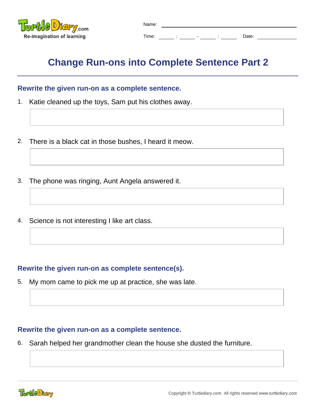

| Name: |  |   |        |       |
|-------|--|---|--------|-------|
| Time: |  | ٠ | ٠<br>٠ | Date: |

## **Change Run-ons into Complete Sentence Part 2**

## **Rewrite the given run-on as a complete sentence.**

- 1. Katie cleaned up the toys, Sam put his clothes away.
- 2. There is a black cat in those bushes, I heard it meow.
- 3. The phone was ringing, Aunt Angela answered it.
- 4. Science is not interesting I like art class.

## **Rewrite the given run-on as complete sentence(s).**

5. My mom came to pick me up at practice, she was late.

## **Rewrite the given run-on as a complete sentence.**

6. Sarah helped her grandmother clean the house she dusted the furniture.